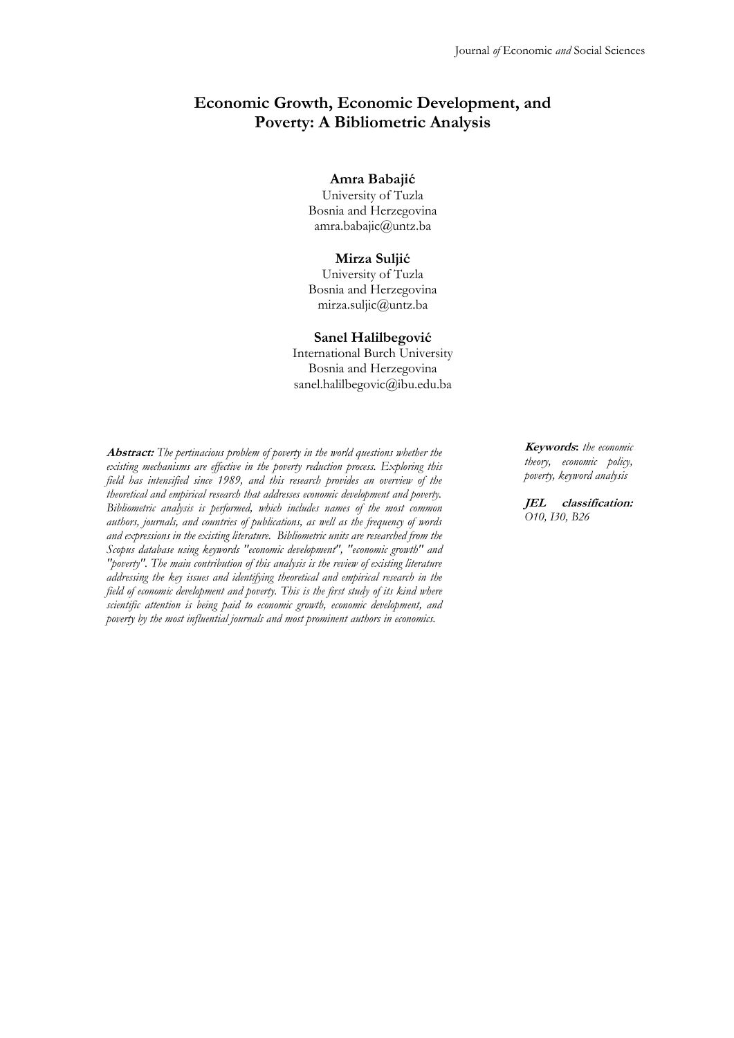# **Economic Growth, Economic Development, and Poverty: A Bibliometric Analysis**

#### **Amra Babajić**

University of Tuzla Bosnia and Herzegovina amra.babajic@untz.ba

#### **Mirza Suljić**

University of Tuzla Bosnia and Herzegovina mirza.suljic@untz.ba

#### **Sanel Halilbegović**

International Burch University Bosnia and Herzegovina sanel.halilbegovic@ibu.edu.ba

**Abstract:** *The pertinacious problem of poverty in the world questions whether the existing mechanisms are effective in the poverty reduction process. Exploring this field has intensified since 1989, and this research provides an overview of the theoretical and empirical research that addresses economic development and poverty. Bibliometric analysis is performed, which includes names of the most common authors, journals, and countries of publications, as well as the frequency of words and expressions in the existing literature. Bibliometric units are researched from the Scopus database using keywords "economic development", "economic growth" and "poverty". The main contribution of this analysis is the review of existing literature addressing the key issues and identifying theoretical and empirical research in the field of economic development and poverty. This is the first study of its kind where scientific attention is being paid to economic growth, economic development, and poverty by the most influential journals and most prominent authors in economics.*

**Keywords:** *the economic theory, economic policy, poverty, keyword analysis*

**JEL classification:** *O10, I30, B26*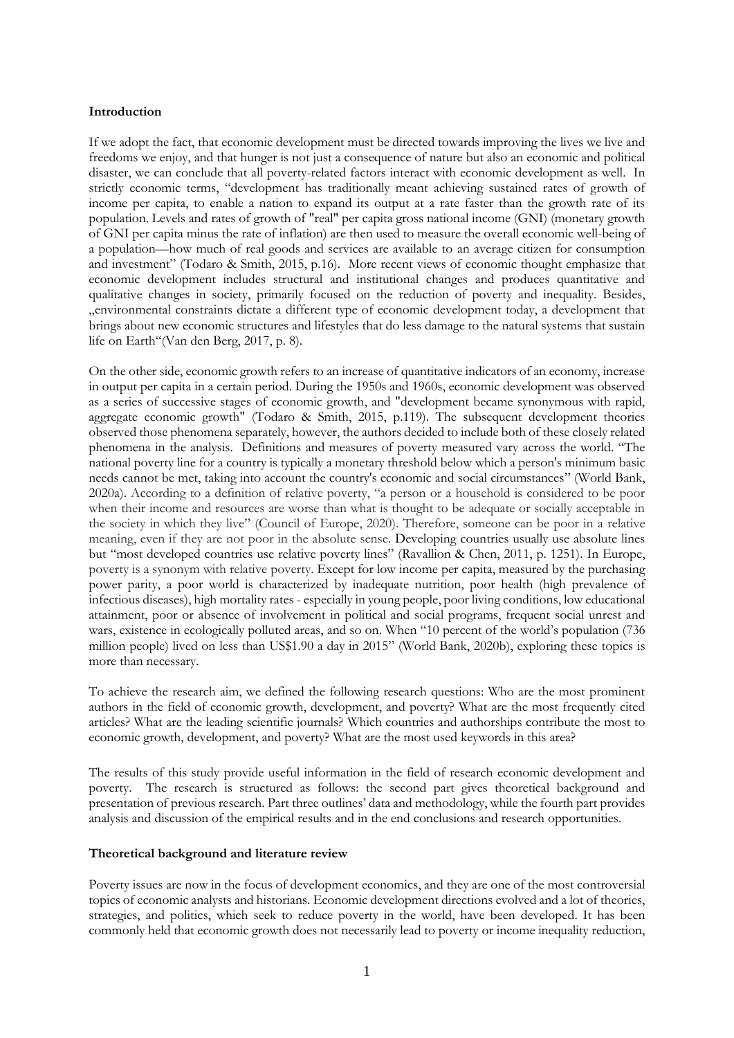### **Introduction**

If we adopt the fact, that economic development must be directed towards improving the lives we live and freedoms we enjoy, and that hunger is not just a consequence of nature but also an economic and political disaster, we can conclude that all poverty-related factors interact with economic development as well. In strictly economic terms, "development has traditionally meant achieving sustained rates of growth of income per capita, to enable a nation to expand its output at a rate faster than the growth rate of its population. Levels and rates of growth of "real" per capita gross national income (GNI) (monetary growth of GNI per capita minus the rate of inflation) are then used to measure the overall economic well-being of a population—how much of real goods and services are available to an average citizen for consumption and investment" (Todaro & Smith, 2015, p.16). More recent views of economic thought emphasize that economic development includes structural and institutional changes and produces quantitative and qualitative changes in society, primarily focused on the reduction of poverty and inequality. Besides, "environmental constraints dictate a different type of economic development today, a development that brings about new economic structures and lifestyles that do less damage to the natural systems that sustain life on Earth"(Van den Berg, 2017, p. 8).

On the other side, economic growth refers to an increase of quantitative indicators of an economy, increase in output per capita in a certain period. During the 1950s and 1960s, economic development was observed as a series of successive stages of economic growth, and "development became synonymous with rapid, aggregate economic growth" (Todaro & Smith, 2015, p.119). The subsequent development theories observed those phenomena separately, however, the authors decided to include both of these closely related phenomena in the analysis. Definitions and measures of poverty measured vary across the world. "The national poverty line for a country is typically a monetary threshold below which a person's minimum basic needs cannot be met, taking into account the country's economic and social circumstances" [\(World Bank,](#page-15-0)  [2020a\)](#page-15-0). According to a definition of relative poverty, "a person or a household is considered to be poor when their income and resources are worse than what is thought to be adequate or socially acceptable in the society in which they live" [\(Council of Europe, 2020\)](#page-13-0). Therefore, someone can be poor in a relative meaning, even if they are not poor in the absolute sense. Developing countries usually use absolute lines but "most developed countries use relative poverty lines" [\(Ravallion & Chen, 2011,](#page-14-0) p. 1251). In Europe, poverty is a synonym with relative poverty. Except for low income per capita, measured by the purchasing power parity, a poor world is characterized by inadequate nutrition, poor health (high prevalence of infectious diseases), high mortality rates - especially in young people, poor living conditions, low educational attainment, poor or absence of involvement in political and social programs, frequent social unrest and wars, existence in ecologically polluted areas, and so on. When "10 percent of the world's population (736 million people) lived on less than US\$1.90 a day in 2015" [\(World Bank, 2020b\)](#page-15-1), exploring these topics is more than necessary.

To achieve the research aim, we defined the following research questions: Who are the most prominent authors in the field of economic growth, development, and poverty? What are the most frequently cited articles? What are the leading scientific journals? Which countries and authorships contribute the most to economic growth, development, and poverty? What are the most used keywords in this area?

The results of this study provide useful information in the field of research economic development and poverty. The research is structured as follows: the second part gives theoretical background and presentation of previous research. Part three outlines' data and methodology, while the fourth part provides analysis and discussion of the empirical results and in the end conclusions and research opportunities.

### **Theoretical background and literature review**

Poverty issues are now in the focus of development economics, and they are one of the most controversial topics of economic analysts and historians. Economic development directions evolved and a lot of theories, strategies, and politics, which seek to reduce poverty in the world, have been developed. It has been commonly held that economic growth does not necessarily lead to poverty or income inequality reduction,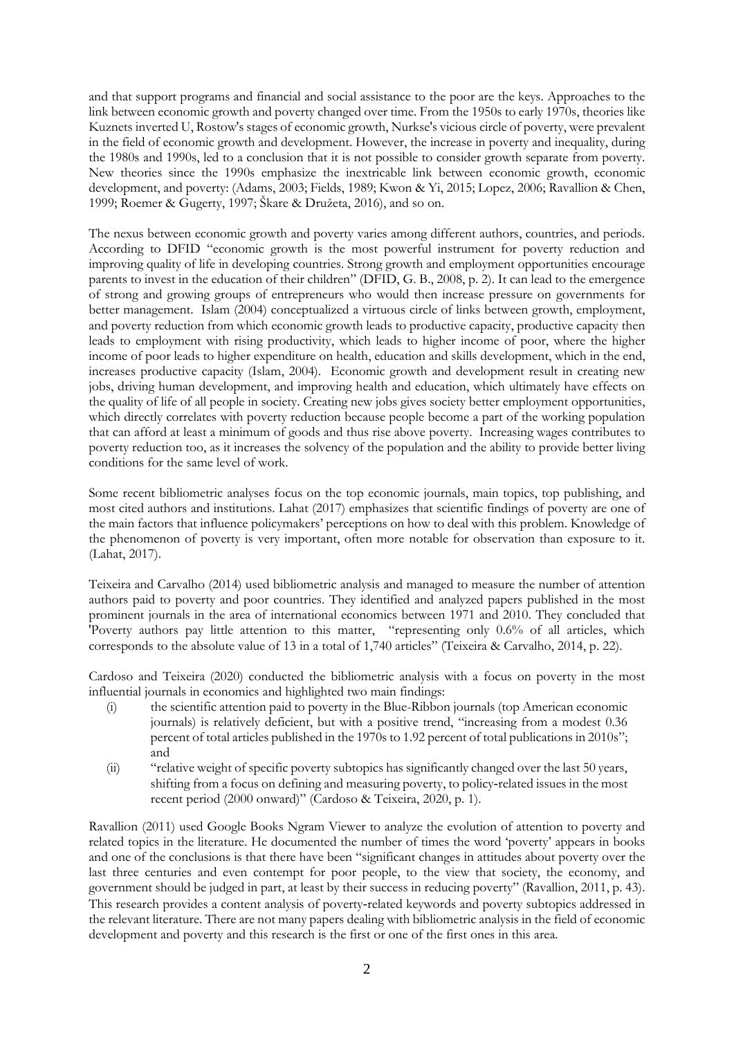and that support programs and financial and social assistance to the poor are the keys. Approaches to the link between economic growth and poverty changed over time. From the 1950s to early 1970s, theories like Kuznets inverted U, Rostow's stages of economic growth, Nurkse's vicious circle of poverty, were prevalent in the field of economic growth and development. However, the increase in poverty and inequality, during the 1980s and 1990s, led to a conclusion that it is not possible to consider growth separate from poverty. New theories since the 1990s emphasize the inextricable link between economic growth, economic development, and poverty: [\(Adams, 2003;](#page-13-1) [Fields, 1989;](#page-13-2) [Kwon & Yi, 2015;](#page-14-1) [Lopez, 2006;](#page-14-2) [Ravallion & Chen,](#page-14-3)  [1999;](#page-14-3) [Roemer & Gugerty, 1997;](#page-14-4) [Škare & Družeta, 2016](#page-14-5)), and so on.

The nexus between economic growth and poverty varies among different authors, countries, and periods. According to DFID "economic growth is the most powerful instrument for poverty reduction and improving quality of life in developing countries. Strong growth and employment opportunities encourage parents to invest in the education of their children" [\(DFID, G. B., 2008,](#page-13-3) p. 2). It can lead to the emergence of strong and growing groups of entrepreneurs who would then increase pressure on governments for better management. Islam (2004) conceptualized a virtuous circle of links between growth, employment, and poverty reduction from which economic growth leads to productive capacity, productive capacity then leads to employment with rising productivity, which leads to higher income of poor, where the higher income of poor leads to higher expenditure on health, education and skills development, which in the end, increases productive capacity (Islam, 2004). Economic growth and development result in creating new jobs, driving human development, and improving health and education, which ultimately have effects on the quality of life of all people in society. Creating new jobs gives society better employment opportunities, which directly correlates with poverty reduction because people become a part of the working population that can afford at least a minimum of goods and thus rise above poverty. Increasing wages contributes to poverty reduction too, as it increases the solvency of the population and the ability to provide better living conditions for the same level of work.

Some recent bibliometric analyses focus on the top economic journals, main topics, top publishing, and most cited authors and institutions. Lahat (2017) emphasizes that scientific findings of poverty are one of the main factors that influence policymakers' perceptions on how to deal with this problem. Knowledge of the phenomenon of poverty is very important, often more notable for observation than exposure to it. (Lahat, 2017).

Teixeira and Carvalho (2014) used bibliometric analysis and managed to measure the number of attention authors paid to poverty and poor countries. They identified and analyzed papers published in the most prominent journals in the area of international economics between 1971 and 2010. They concluded that 'Poverty authors pay little attention to this matter, "representing only 0.6% of all articles, which corresponds to the absolute value of 13 in a total of 1,740 articles" (Teixeira [& Carvalho, 2014,](#page-14-6) p. 22).

Cardoso and Teixeira (2020) conducted the bibliometric analysis with a focus on poverty in the most influential journals in economics and highlighted two main findings:

- (i) the scientific attention paid to poverty in the Blue-Ribbon journals (top American economic journals) is relatively deficient, but with a positive trend, "increasing from a modest 0.36 percent of total articles published in the 1970s to 1.92 percent of total publications in 2010s"; and
- (ii) "relative weight of specific poverty subtopics has significantly changed over the last 50 years, shifting from a focus on defining and measuring poverty, to policy-related issues in the most recent period (2000 onward)" [\(Cardoso & Teixeira,](#page-13-4) 2020, p. 1).

Ravallion (2011) used Google Books Ngram Viewer to analyze the evolution of attention to poverty and related topics in the literature. He documented the number of times the word 'poverty' appears in books and one of the conclusions is that there have been "significant changes in attitudes about poverty over the last three centuries and even contempt for poor people, to the view that society, the economy, and government should be judged in part, at least by their success in reducing poverty" (Ravallion, 2011, p. 43). This research provides a content analysis of poverty-related keywords and poverty subtopics addressed in the relevant literature. There are not many papers dealing with bibliometric analysis in the field of economic development and poverty and this research is the first or one of the first ones in this area.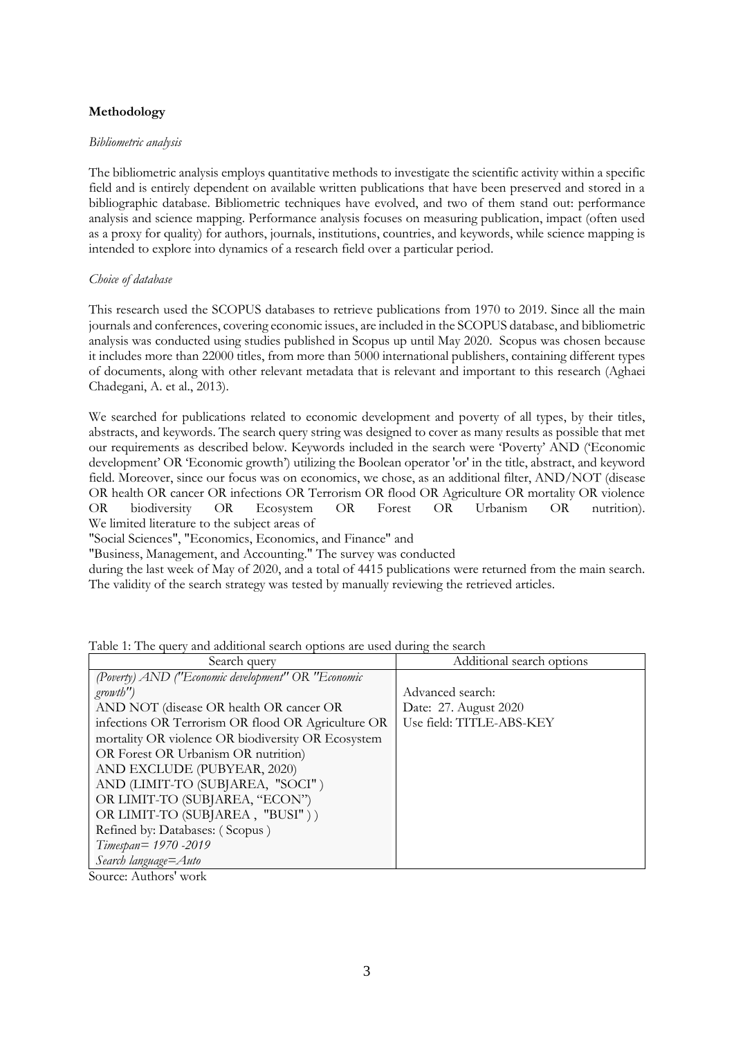## **Methodology**

## *Bibliometric analysis*

The bibliometric analysis employs quantitative methods to investigate the scientific activity within a specific field and is entirely dependent on available written publications that have been preserved and stored in a bibliographic database. Bibliometric techniques have evolved, and two of them stand out: performance analysis and science mapping. Performance analysis focuses on measuring publication, impact (often used as a proxy for quality) for authors, journals, institutions, countries, and keywords, while science mapping is intended to explore into dynamics of a research field over a particular period.

## *Choice of database*

This research used the SCOPUS databases to retrieve publications from 1970 to 2019. Since all the main journals and conferences, covering economic issues, are included in the SCOPUS database, and bibliometric analysis was conducted using studies published in Scopus up until May 2020. Scopus was chosen because it includes more than 22000 titles, from more than 5000 international publishers, containing different types of documents, along with other relevant metadata that is relevant and important to this research [\(Aghaei](#page-13-5)  [Chadegani, A. et al., 2013\)](#page-13-5).

We searched for publications related to economic development and poverty of all types, by their titles, abstracts, and keywords. The search query string was designed to cover as many results as possible that met our requirements as described below. Keywords included in the search were 'Poverty' AND ('Economic development' OR 'Economic growth') utilizing the Boolean operator 'or' in the title, abstract, and keyword field. Moreover, since our focus was on economics, we chose, as an additional filter, AND/NOT (disease OR health OR cancer OR infections OR Terrorism OR flood OR Agriculture OR mortality OR violence OR biodiversity OR Ecosystem OR Forest OR Urbanism OR nutrition). We limited literature to the subject areas of

"Social Sciences", "Economics, Economics, and Finance" and

"Business, Management, and Accounting." The survey was conducted

during the last week of May of 2020, and a total of 4415 publications were returned from the main search. The validity of the search strategy was tested by manually reviewing the retrieved articles.

| Search query                                       | Additional search options |  |  |
|----------------------------------------------------|---------------------------|--|--|
| (Poverty) AND ("Economic development" OR "Economic |                           |  |  |
| growth'                                            | Advanced search:          |  |  |
| AND NOT (disease OR health OR cancer OR            | Date: 27. August 2020     |  |  |
| infections OR Terrorism OR flood OR Agriculture OR | Use field: TITLE-ABS-KEY  |  |  |
| mortality OR violence OR biodiversity OR Ecosystem |                           |  |  |
| OR Forest OR Urbanism OR nutrition)                |                           |  |  |
| AND EXCLUDE (PUBYEAR, 2020)                        |                           |  |  |
| AND (LIMIT-TO (SUBJAREA, "SOCI")                   |                           |  |  |
| OR LIMIT-TO (SUBJAREA, "ECON")                     |                           |  |  |
| OR LIMIT-TO (SUBJAREA, "BUSI"))                    |                           |  |  |
| Refined by: Databases: (Scopus)                    |                           |  |  |
| Timespan= 1970 -2019                               |                           |  |  |
| Search language=Auto                               |                           |  |  |

Table 1: The query and additional search options are used during the search

Source: Authors' work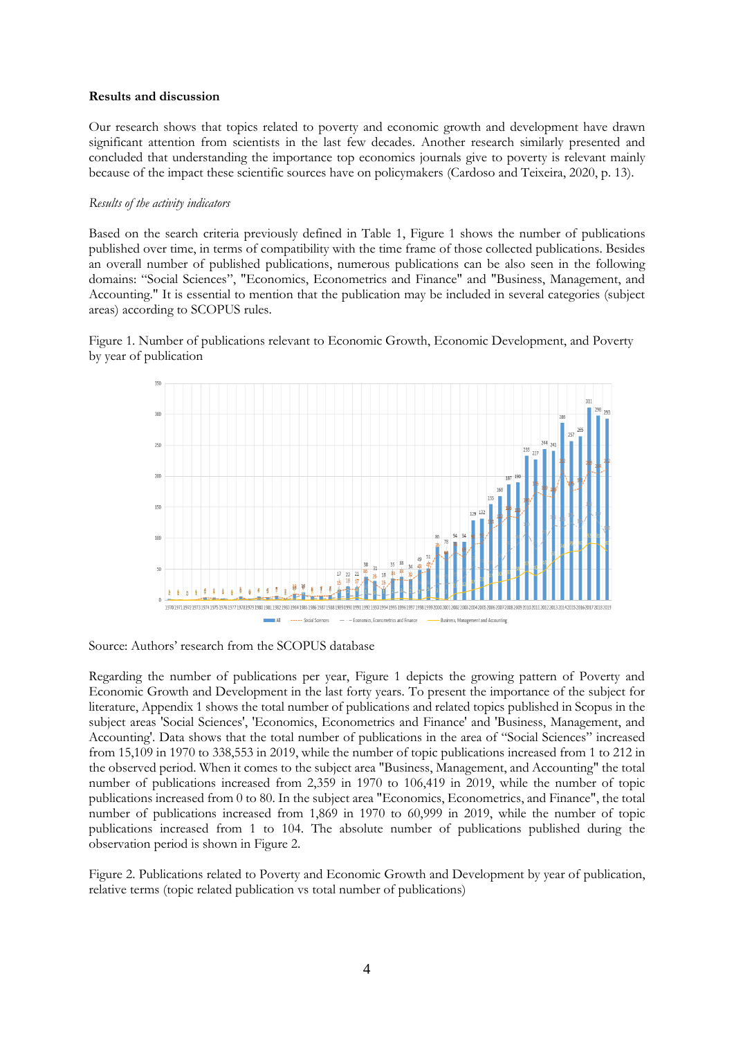### **Results and discussion**

Our research shows that topics related to poverty and economic growth and development have drawn significant attention from scientists in the last few decades. Another research similarly presented and concluded that understanding the importance top economics journals give to poverty is relevant mainly because of the impact these scientific sources have on policymakers (Cardoso and Teixeira, 2020, p. 13).

### *Results of the activity indicators*

Based on the search criteria previously defined in Table 1, Figure 1 shows the number of publications published over time, in terms of compatibility with the time frame of those collected publications. Besides an overall number of published publications, numerous publications can be also seen in the following domains: "Social Sciences", "Economics, Econometrics and Finance" and "Business, Management, and Accounting." It is essential to mention that the publication may be included in several categories (subject areas) according to SCOPUS rules.

Figure 1. Number of publications relevant to Economic Growth, Economic Development, and Poverty by year of publication



Source: Authors' research from the SCOPUS database

Regarding the number of publications per year, Figure 1 depicts the growing pattern of Poverty and Economic Growth and Development in the last forty years. To present the importance of the subject for literature, Appendix 1 shows the total number of publications and related topics published in Scopus in the subject areas 'Social Sciences', 'Economics, Econometrics and Finance' and 'Business, Management, and Accounting'. Data shows that the total number of publications in the area of "Social Sciences" increased from 15,109 in 1970 to 338,553 in 2019, while the number of topic publications increased from 1 to 212 in the observed period. When it comes to the subject area "Business, Management, and Accounting" the total number of publications increased from 2,359 in 1970 to 106,419 in 2019, while the number of topic publications increased from 0 to 80. In the subject area "Economics, Econometrics, and Finance", the total number of publications increased from 1,869 in 1970 to 60,999 in 2019, while the number of topic publications increased from 1 to 104. The absolute number of publications published during the observation period is shown in Figure 2.

Figure 2. Publications related to Poverty and Economic Growth and Development by year of publication, relative terms (topic related publication vs total number of publications)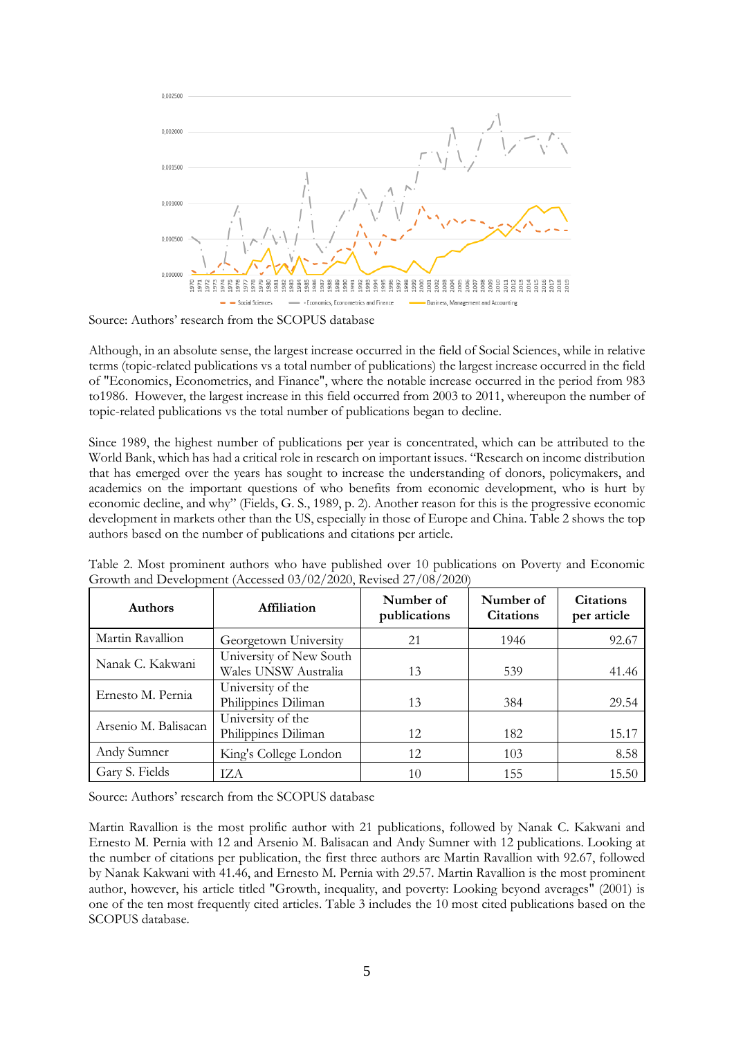

Source: Authors' research from the SCOPUS database

Although, in an absolute sense, the largest increase occurred in the field of Social Sciences, while in relative terms (topic-related publications vs a total number of publications) the largest increase occurred in the field of "Economics, Econometrics, and Finance", where the notable increase occurred in the period from 983 to1986. However, the largest increase in this field occurred from 2003 to 2011, whereupon the number of topic-related publications vs the total number of publications began to decline.

Since 1989, the highest number of publications per year is concentrated, which can be attributed to the World Bank, which has had a critical role in research on important issues. "Research on income distribution that has emerged over the years has sought to increase the understanding of donors, policymakers, and academics on the important questions of who benefits from economic development, who is hurt by economic decline, and why" [\(Fields, G. S., 1989,](#page-13-2) p. 2). Another reason for this is the progressive economic development in markets other than the US, especially in those of Europe and China. Table 2 shows the top authors based on the number of publications and citations per article.

| <b>Authors</b>       | Affiliation                                     | Number of<br>publications | Number of<br><b>Citations</b> | <b>Citations</b><br>per article |
|----------------------|-------------------------------------------------|---------------------------|-------------------------------|---------------------------------|
| Martin Ravallion     | Georgetown University                           | 21                        | 1946                          | 92.67                           |
| Nanak C. Kakwani     | University of New South<br>Wales UNSW Australia | 13                        | 539                           | 41.46                           |
| Ernesto M. Pernia    | University of the<br>Philippines Diliman        | 13                        | 384                           | 29.54                           |
| Arsenio M. Balisacan | University of the<br>Philippines Diliman        | 12                        | 182                           | 15.17                           |
| Andy Sumner          | King's College London                           | 12                        | 103                           | 8.58                            |
| Gary S. Fields       | TZA.                                            | 10                        | 155                           | 15.50                           |

Table 2. Most prominent authors who have published over 10 publications on Poverty and Economic Growth and Development (Accessed 03/02/2020, Revised 27/08/2020)

Source: Authors' research from the SCOPUS database

Martin Ravallion is the most prolific author with 21 publications, followed by Nanak C. Kakwani and Ernesto M. Pernia with 12 and Arsenio M. Balisacan and Andy Sumner with 12 publications. Looking at the number of citations per publication, the first three authors are Martin Ravallion with 92.67, followed by Nanak Kakwani with 41.46, and Ernesto M. Pernia with 29.57. Martin Ravallion is the most prominent author, however, his article titled "Growth, inequality, and poverty: Looking beyond averages" (2001) is one of the ten most frequently cited articles. Table 3 includes the 10 most cited publications based on the SCOPUS database.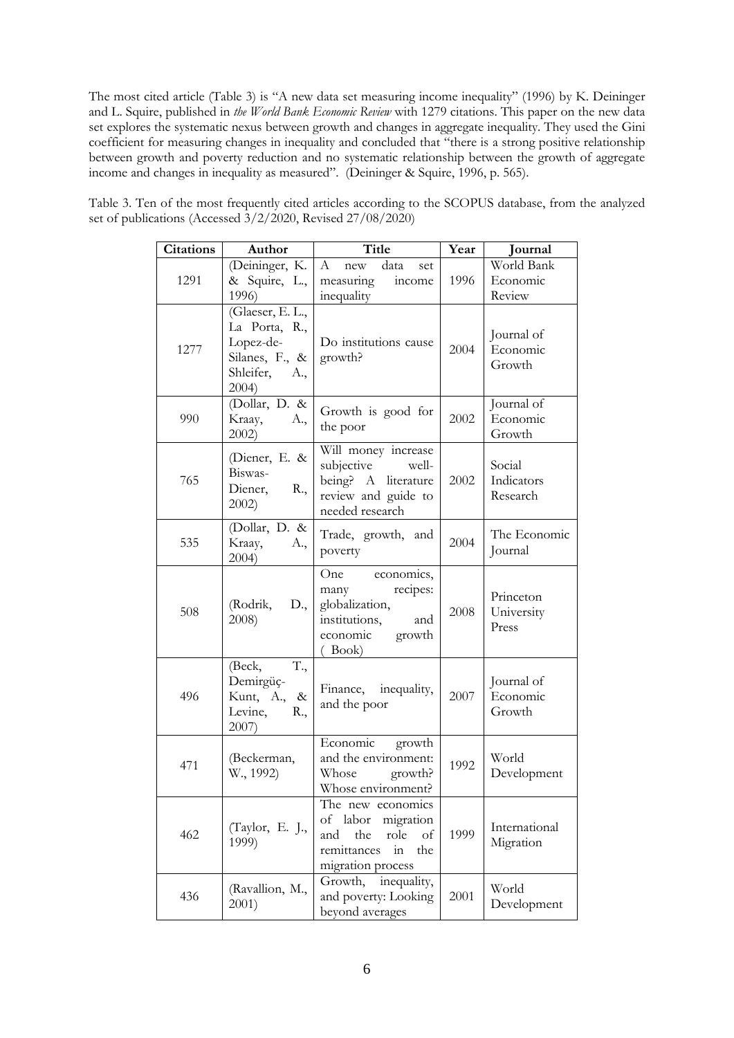The most cited article (Table 3) is "A new data set measuring income inequality" (1996) by K. Deininger and L. Squire, published in *the World Bank Economic Review* with 1279 citations. This paper on the new data set explores the systematic nexus between growth and changes in aggregate inequality. They used the Gini coefficient for measuring changes in inequality and concluded that "there is a strong positive relationship between growth and poverty reduction and no systematic relationship between the growth of aggregate income and changes in inequality as measured". [\(Deininger & Squire, 1996,](#page-13-6) p. 565).

| <b>Citations</b> | Author                                                                                        | Title                                                                                                                          | Year | Journal                          |
|------------------|-----------------------------------------------------------------------------------------------|--------------------------------------------------------------------------------------------------------------------------------|------|----------------------------------|
| 1291             | (Deininger, K.<br>& Squire, L.,<br>1996)                                                      | $\boldsymbol{A}$<br>data<br>new<br>set<br>measuring<br>income<br>inequality                                                    | 1996 | World Bank<br>Economic<br>Review |
| 1277             | (Glaeser, E. L.,<br>La Porta, R.,<br>Lopez-de-<br>Silanes, F., &<br>Shleifer,<br>A.,<br>2004) | Do institutions cause<br>growth?                                                                                               | 2004 | Journal of<br>Economic<br>Growth |
| 990              | (Dollar, D. &<br>Kraay,<br>A.,<br>$2002$ )                                                    | Growth is good for<br>the poor                                                                                                 | 2002 | Journal of<br>Economic<br>Growth |
| 765              | (Diener, E. &<br>Biswas-<br>Diener,<br>R.,<br>$2002$ )                                        | Will money increase<br>subjective<br>well-<br>being? A literature<br>review and guide to<br>needed research                    | 2002 | Social<br>Indicators<br>Research |
| 535              | (Dollar, D. &<br>Kraay,<br>A.,<br>2004)                                                       | Trade, growth, and<br>poverty                                                                                                  | 2004 | The Economic<br>Journal          |
| 508              | (Rodrik,<br>D.,<br>2008)                                                                      | One<br>economics,<br>recipes:<br>many<br>globalization,<br>institutions,<br>and<br>economic<br>growth<br>$($ Book $)$          | 2008 | Princeton<br>University<br>Press |
| 496              | T.,<br>(Beck,<br>Demirgüç-<br>Kunt, A.,<br>$\&$<br>Levine,<br>R.,<br>2007)                    | Finance, inequality,<br>and the poor                                                                                           | 2007 | Journal of<br>Economic<br>Growth |
| 471              | (Beckerman,<br>W., 1992)                                                                      | Economic<br>growth<br>and the environment:<br>Whose<br>growth?<br>Whose environment?                                           | 1992 | World<br>Development             |
| 462              | (Taylor, E. J.,<br>1999)                                                                      | The new economics<br>of<br>labor<br>migration<br>and<br>the<br>role<br>of<br>the<br>remittances<br>$\sin$<br>migration process | 1999 | International<br>Migration       |
| 436              | (Ravallion, M.,<br>2001)                                                                      | Growth,<br>inequality,<br>and poverty: Looking<br>beyond averages                                                              | 2001 | World<br>Development             |

Table 3. Ten of the most frequently cited articles according to the SCOPUS database, from the analyzed set of publications (Accessed 3/2/2020, Revised 27/08/2020)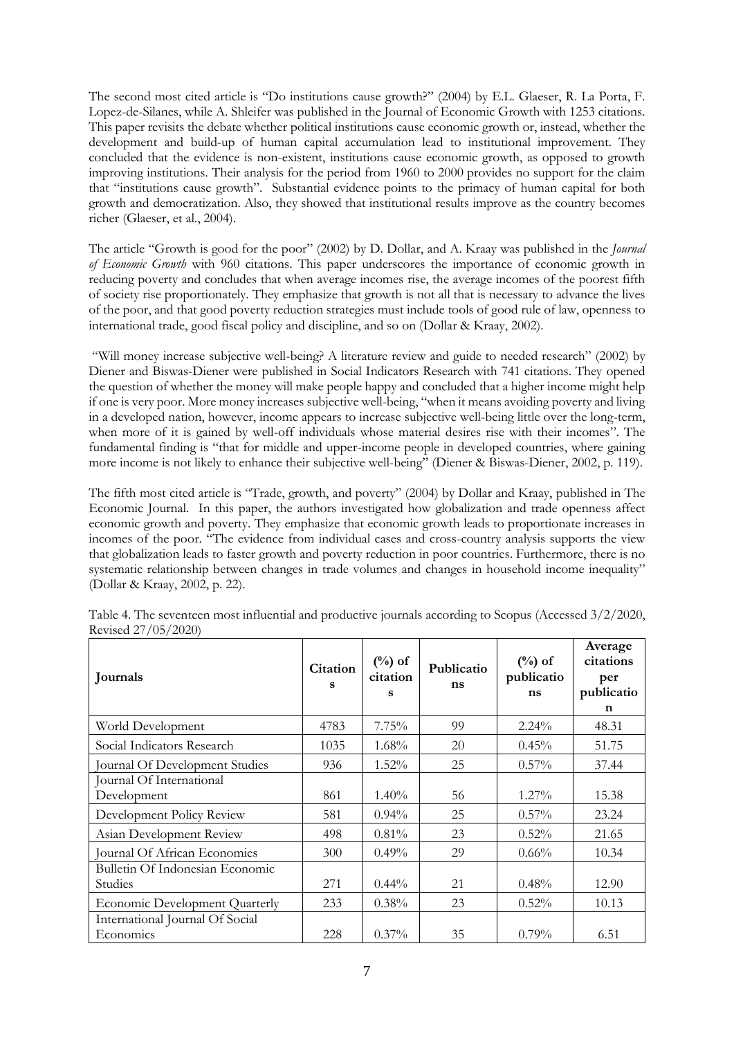The second most cited article is "Do institutions cause growth?" (2004) by E.L. Glaeser, R. La Porta, F. Lopez-de-Silanes, while A. Shleifer was published in the Journal of Economic Growth with 1253 citations. This paper revisits the debate whether political institutions cause economic growth or, instead, whether the development and build-up of human capital accumulation lead to institutional improvement. They concluded that the evidence is non-existent, institutions cause economic growth, as opposed to growth improving institutions. Their analysis for the period from 1960 to 2000 provides no support for the claim that "institutions cause growth". Substantial evidence points to the primacy of human capital for both growth and democratization. Also, they showed that institutional results improve as the country becomes richer [\(Glaeser, et al., 2004\)](#page-13-7).

The article "Growth is good for the poor" (2002) by [D. Dollar,](https://scholar.google.com/citations?user=46NXjwcAAAAJ&hl=en&oi=sra) and [A. Kraay](https://scholar.google.com/citations?user=fcQenm4AAAAJ&hl=en&oi=sra) was published in the *Journal of Economic Growth* with 960 citations. This paper underscores the importance of economic growth in reducing poverty and concludes that when average incomes rise, the average incomes of the poorest fifth of society rise proportionately. They emphasize that growth is not all that is necessary to advance the lives of the poor, and that good poverty reduction strategies must include tools of good rule of law, openness to international trade, good fiscal policy and discipline, and so on [\(Dollar & Kraay, 2002\)](#page-13-10).

"Will money increase subjective well-being? A literature review and guide to needed research" (2002) by Diener and Biswas-Diener were published in Social Indicators Research with 741 citations. They opened the question of whether the money will make people happy and concluded that a higher income might help if one is very poor. More money increases subjective well-being, "when it means avoiding poverty and living in a developed nation, however, income appears to increase subjective well-being little over the long-term, when more of it is gained by well-off individuals whose material desires rise with their incomes". The fundamental finding is "that for middle and upper-income people in developed countries, where gaining more income is not likely to enhance their subjective well-being" [\(Diener & Biswas-Diener,](#page-13-9) 2002, p. 119).

The fifth most cited article is "Trade, growth, and poverty" (2004) by Dollar and Kraay, published in The Economic Journal. In this paper, the authors investigated how globalization and trade openness affect economic growth and poverty. They emphasize that economic growth leads to proportionate increases in incomes of the poor. "The evidence from individual cases and cross-country analysis supports the view that globalization leads to faster growth and poverty reduction in poor countries. Furthermore, there is no systematic relationship between changes in trade volumes and changes in household income inequality" [\(Dollar & Kraay,](#page-13-8) 2002, p. 22).

| Journals                                     | Citation<br>s | $(\%)$ of<br>citation<br>s | Publicatio<br>ns | $(\%)$ of<br>publicatio<br>ns | Average<br>citations<br>per<br>publicatio<br>$\mathbf n$ |
|----------------------------------------------|---------------|----------------------------|------------------|-------------------------------|----------------------------------------------------------|
| World Development                            | 4783          | 7.75%                      | 99               | $2.24\%$                      | 48.31                                                    |
| Social Indicators Research                   | 1035          | $1.68\%$                   | 20               | 0.45%                         | 51.75                                                    |
| Journal Of Development Studies               | 936           | $1.52\%$                   | 25               | $0.57\%$                      | 37.44                                                    |
| Journal Of International<br>Development      | 861           | $1.40\%$                   | 56               | $1.27\%$                      | 15.38                                                    |
| Development Policy Review                    | 581           | $0.94\%$                   | 25               | $0.57\%$                      | 23.24                                                    |
| Asian Development Review                     | 498           | 0.81%                      | 23               | 0.52%                         | 21.65                                                    |
| Journal Of African Economies                 | 300           | $0.49\%$                   | 29               | $0.66\%$                      | 10.34                                                    |
| Bulletin Of Indonesian Economic<br>Studies   | 271           | $0.44\%$                   | 21               | 0.48%                         | 12.90                                                    |
| <b>Economic Development Quarterly</b>        | 233           | $0.38\%$                   | 23               | 0.52%                         | 10.13                                                    |
| International Journal Of Social<br>Economics | 228           | $0.37\%$                   | 35               | 0.79%                         | 6.51                                                     |

Table 4. The seventeen most influential and productive journals according to Scopus (Accessed 3/2/2020, Revised 27/05/2020)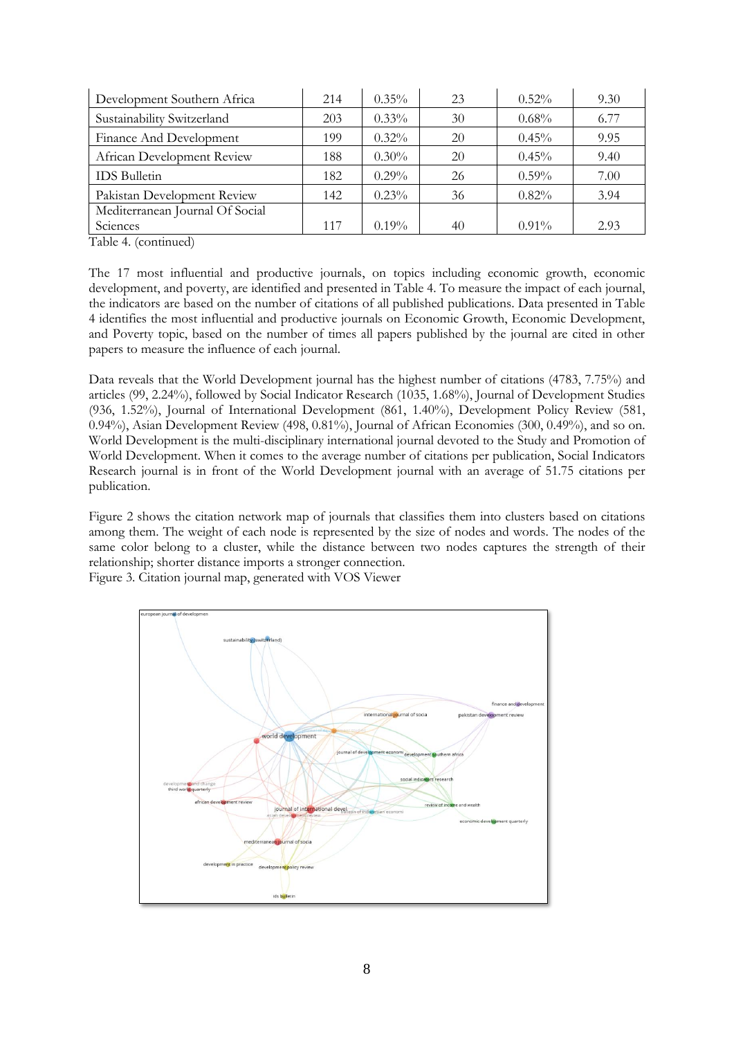| Development Southern Africa     | 214 | $0.35\%$ | 23 | $0.52\%$ | 9.30 |
|---------------------------------|-----|----------|----|----------|------|
| Sustainability Switzerland      | 203 | $0.33\%$ | 30 | $0.68\%$ | 6.77 |
| Finance And Development         | 199 | $0.32\%$ | 20 | 0.45%    | 9.95 |
| African Development Review      | 188 | $0.30\%$ | 20 | $0.45\%$ | 9.40 |
| <b>IDS</b> Bulletin             | 182 | $0.29\%$ | 26 | $0.59\%$ | 7.00 |
| Pakistan Development Review     | 142 | $0.23\%$ | 36 | 0.82%    | 3.94 |
| Mediterranean Journal Of Social |     |          |    |          |      |
| Sciences                        | 117 | $0.19\%$ | 40 | $0.91\%$ | 2.93 |

Table 4. (continued)

The 17 most influential and productive journals, on topics including economic growth, economic development, and poverty, are identified and presented in Table 4. To measure the impact of each journal, the indicators are based on the number of citations of all published publications. Data presented in Table 4 identifies the most influential and productive journals on Economic Growth, Economic Development, and Poverty topic, based on the number of times all papers published by the journal are cited in other papers to measure the influence of each journal.

Data reveals that the World Development journal has the highest number of citations (4783, 7.75%) and articles (99, 2.24%), followed by Social Indicator Research (1035, 1.68%), Journal of Development Studies (936, 1.52%), Journal of International Development (861, 1.40%), Development Policy Review (581, 0.94%), Asian Development Review (498, 0.81%), Journal of African Economies (300, 0.49%), and so on. World Development is the multi-disciplinary international journal devoted to the Study and Promotion of World Development. When it comes to the average number of citations per publication, Social Indicators Research journal is in front of the World Development journal with an average of 51.75 citations per publication.

Figure 2 shows the citation network map of journals that classifies them into clusters based on citations among them. The weight of each node is represented by the size of nodes and words. The nodes of the same color belong to a cluster, while the distance between two nodes captures the strength of their relationship; shorter distance imports a stronger connection.

Figure 3. Citation journal map, generated with VOS Viewer

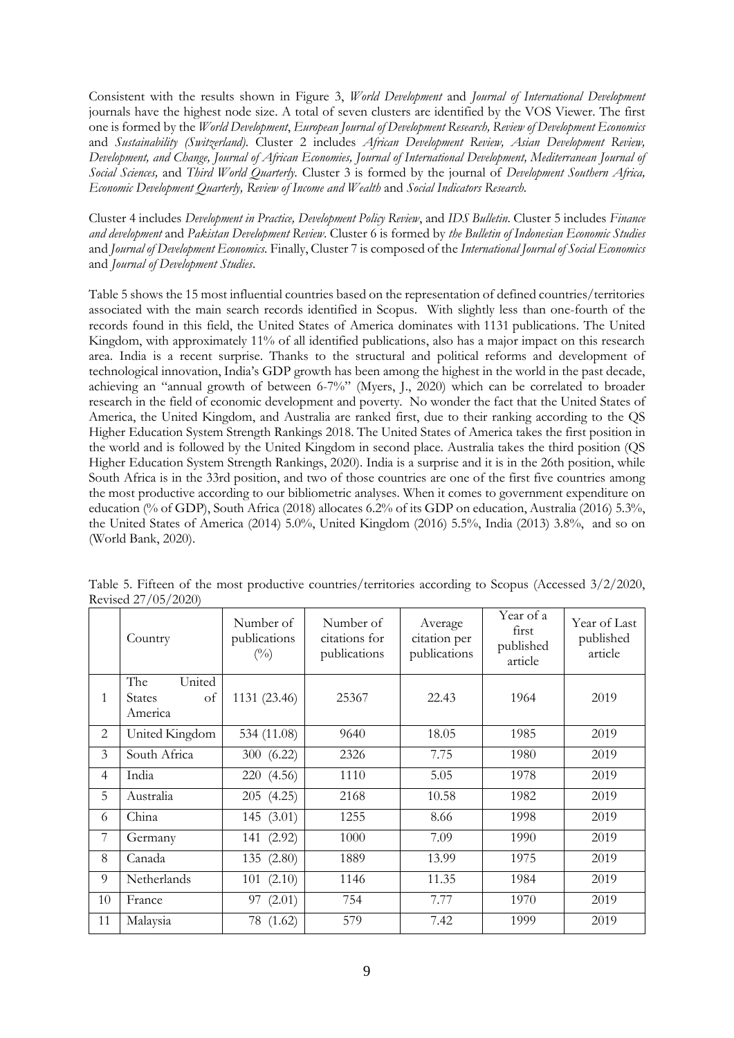Consistent with the results shown in Figure 3, *World Development* and *Journal of International Development*  journals have the highest node size. A total of seven clusters are identified by the VOS Viewer. The first one is formed by the *World Development*, *European Journal of Development Research, Review of Development Economics*  and *Sustainability (Switzerland)*. Cluster 2 includes *African Development Review, Asian Development Review, Development, and Change, Journal of African Economies, Journal of International Development, Mediterranean Journal of Social Sciences,* and *Third World Quarterly.* Cluster 3 is formed by the journal of *Development Southern Africa, Economic Development Quarterly, Review of Income and Wealth* and *Social Indicators Research.* 

Cluster 4 includes *Development in Practice, Development Policy Review*, and *IDS Bulletin*. Cluster 5 includes *Finance and development* and *Pakistan Development Review*. Cluster 6 is formed by *the Bulletin of Indonesian Economic Studies* and *Journal of Development Economics.* Finally, Cluster 7 is composed of the *International Journal of Social Economics*  and *Journal of Development Studies*.

Table 5 shows the 15 most influential countries based on the representation of defined countries/territories associated with the main search records identified in Scopus. With slightly less than one-fourth of the records found in this field, the United States of America dominates with 1131 publications. The United Kingdom, with approximately 11% of all identified publications, also has a major impact on this research area. India is a recent surprise. Thanks to the structural and political reforms and development of technological innovation, India's GDP growth has been among the highest in the world in the past decade, achieving an "annual growth of between 6-7%" [\(Myers, J., 2020\)](#page-14-10) which can be correlated to broader research in the field of economic development and poverty. No wonder the fact that the United States of America, the United Kingdom, and Australia are ranked first, due to their ranking according to the QS Higher Education System Strength Rankings 2018. The United States of America takes the first position in the world and is followed by the United Kingdom in second place. Australia takes the third position (QS Higher Education System Strength Rankings, 2020). India is a surprise and it is in the 26th position, while South Africa is in the 33rd position, and two of those countries are one of the first five countries among the most productive according to our bibliometric analyses. When it comes to government expenditure on education (% of GDP), South Africa (2018) allocates 6.2% of its GDP on education, Australia (2016) 5.3%, the United States of America (2014) 5.0%, United Kingdom (2016) 5.5%, India (2013) 3.8%, and so on (World Bank, 2020).

|                | Country                 | Number of<br>publications<br>$\binom{0}{0}$ | Number of<br>citations for<br>publications | Average<br>citation per<br>publications | Year of a<br>first<br>published<br>article | Year of Last<br>published<br>article |
|----------------|-------------------------|---------------------------------------------|--------------------------------------------|-----------------------------------------|--------------------------------------------|--------------------------------------|
|                | United<br>The           |                                             |                                            |                                         |                                            |                                      |
| 1              | States<br>of<br>America | 1131 (23.46)                                | 25367                                      | 22.43                                   | 1964                                       | 2019                                 |
| 2              | United Kingdom          | 534 (11.08)                                 | 9640                                       | 18.05                                   | 1985                                       | 2019                                 |
| 3              | South Africa            | 300 (6.22)                                  | 2326                                       | 7.75                                    | 1980                                       | 2019                                 |
| 4              | India                   | 220 (4.56)                                  | 1110                                       | 5.05                                    | 1978                                       | 2019                                 |
| 5              | Australia               | 205(4.25)                                   | 2168                                       | 10.58                                   | 1982                                       | 2019                                 |
| 6              | China                   | 145 (3.01)                                  | 1255                                       | 8.66                                    | 1998                                       | 2019                                 |
| $\overline{7}$ | Germany                 | 141 (2.92)                                  | 1000                                       | 7.09                                    | 1990                                       | 2019                                 |
| 8              | Canada                  | 135 (2.80)                                  | 1889                                       | 13.99                                   | 1975                                       | 2019                                 |
| 9              | Netherlands             | 101(2.10)                                   | 1146                                       | 11.35                                   | 1984                                       | 2019                                 |
| 10             | France                  | 97 (2.01)                                   | 754                                        | 7.77                                    | 1970                                       | 2019                                 |
| 11             | Malaysia                | 78 (1.62)                                   | 579                                        | 7.42                                    | 1999                                       | 2019                                 |

Table 5. Fifteen of the most productive countries/territories according to Scopus (Accessed 3/2/2020, Revised 27/05/2020)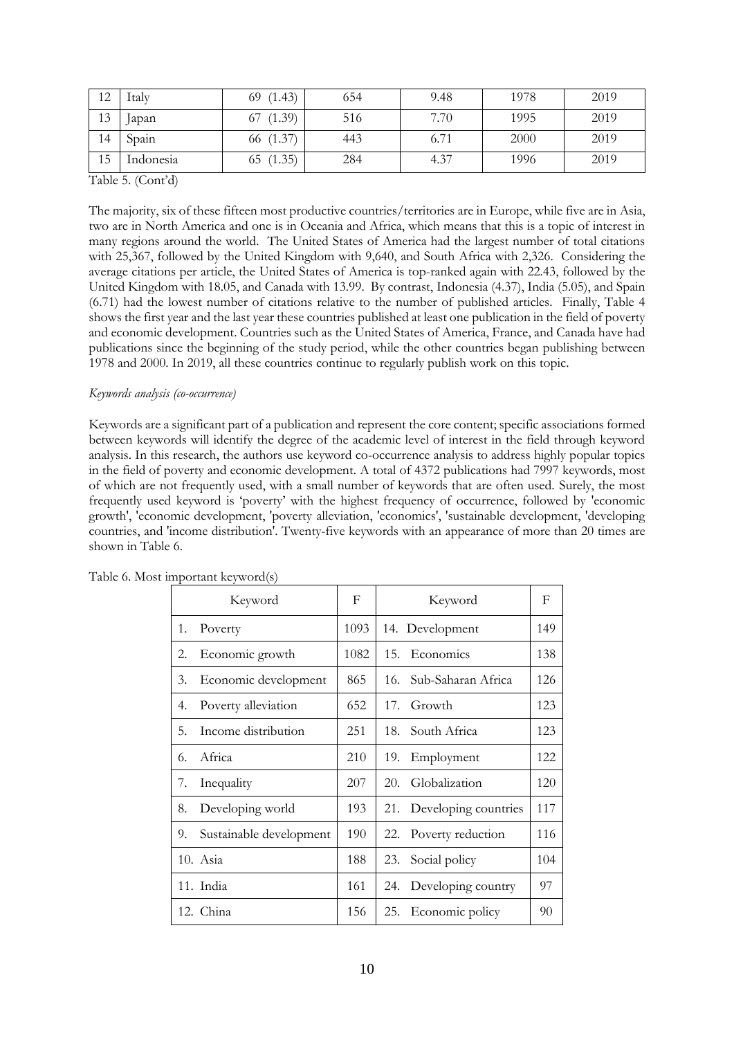| 12 | Italy     | 69(1.43)  | 654 | 9.48 | 1978 | 2019 |
|----|-----------|-----------|-----|------|------|------|
| 13 | Japan     | 67(1.39)  | 516 | 7.70 | 1995 | 2019 |
| 14 | Spain     | 66 (1.37) | 443 | 6.71 | 2000 | 2019 |
| 15 | Indonesia | 65(1.35)  | 284 | 4.37 | 1996 | 2019 |

Table 5. (Cont'd)

The majority, six of these fifteen most productive countries/territories are in Europe, while five are in Asia, two are in North America and one is in Oceania and Africa, which means that this is a topic of interest in many regions around the world. The United States of America had the largest number of total citations with 25,367, followed by the United Kingdom with 9,640, and South Africa with 2,326. Considering the average citations per article, the United States of America is top-ranked again with 22.43, followed by the United Kingdom with 18.05, and Canada with 13.99. By contrast, Indonesia (4.37), India (5.05), and Spain (6.71) had the lowest number of citations relative to the number of published articles. Finally, Table 4 shows the first year and the last year these countries published at least one publication in the field of poverty and economic development. Countries such as the United States of America, France, and Canada have had publications since the beginning of the study period, while the other countries began publishing between 1978 and 2000. In 2019, all these countries continue to regularly publish work on this topic.

### *Keywords analysis (co-occurrence)*

Keywords are a significant part of a publication and represent the core content; specific associations formed between keywords will identify the degree of the academic level of interest in the field through keyword analysis. In this research, the authors use keyword co-occurrence analysis to address highly popular topics in the field of poverty and economic development. A total of 4372 publications had 7997 keywords, most of which are not frequently used, with a small number of keywords that are often used. Surely, the most frequently used keyword is 'poverty' with the highest frequency of occurrence, followed by 'economic growth', 'economic development, 'poverty alleviation, 'economics', 'sustainable development, 'developing countries, and 'income distribution'. Twenty-five keywords with an appearance of more than 20 times are shown in Table 6.

| Keyword                       | F    | Keyword                     | F   |
|-------------------------------|------|-----------------------------|-----|
| Poverty<br>1.                 | 1093 | 14. Development             | 149 |
| Economic growth<br>2.         | 1082 | 15.<br>Economics            | 138 |
| Economic development<br>3.    | 865  | Sub-Saharan Africa<br>16.   | 126 |
| Poverty alleviation<br>4.     | 652  | 17.<br>Growth               | 123 |
| Income distribution<br>5.     | 251  | South Africa<br>18.         | 123 |
| Africa<br>6.                  | 210  | 19.<br>Employment           | 122 |
| Inequality<br>7.              | 207  | Globalization<br>20.        | 120 |
| Developing world<br>8.        | 193  | Developing countries<br>21. | 117 |
| 9.<br>Sustainable development | 190  | Poverty reduction<br>22.    | 116 |
| 10. Asia                      | 188  | Social policy<br>23.        | 104 |
| 11. India                     | 161  | Developing country<br>24.   | 97  |
| 12. China                     | 156  | Economic policy<br>25.      | 90  |

Table 6. Most important keyword(s)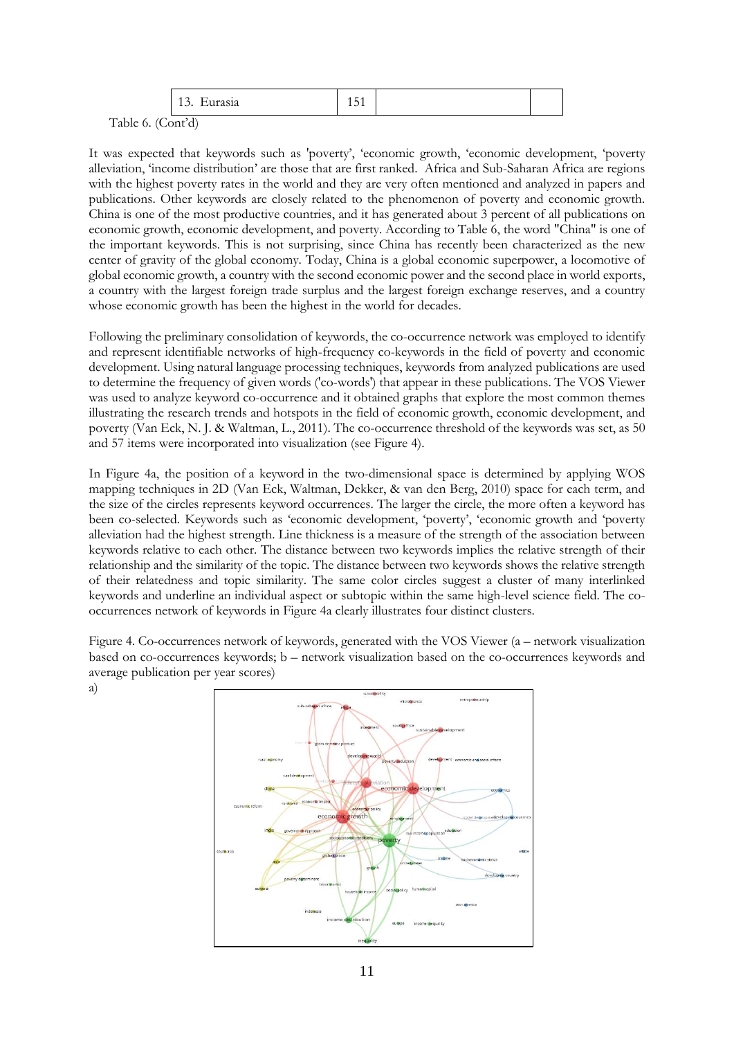|                                    | $\Delta$<br>Eurasia<br>1 J . | .<br>$1 \vee 1$ |  |  |
|------------------------------------|------------------------------|-----------------|--|--|
| $\sim$ $\sim$ $\sim$<br>$\sqrt{ }$ | $\rightarrow$ $\rightarrow$  |                 |  |  |

Table 6. (Cont'd)

It was expected that keywords such as 'poverty', 'economic growth, 'economic development, 'poverty alleviation, 'income distribution' are those that are first ranked. Africa and Sub-Saharan Africa are regions with the highest poverty rates in the world and they are very often mentioned and analyzed in papers and publications. Other keywords are closely related to the phenomenon of poverty and economic growth. China is one of the most productive countries, and it has generated about 3 percent of all publications on economic growth, economic development, and poverty. According to Table 6, the word "China" is one of the important keywords. This is not surprising, since China has recently been characterized as the new center of gravity of the global economy. Today, China is a global economic superpower, a locomotive of global economic growth, a country with the second economic power and the second place in world exports, a country with the largest foreign trade surplus and the largest foreign exchange reserves, and a country whose economic growth has been the highest in the world for decades.

Following the preliminary consolidation of keywords, the co-occurrence network was employed to identify and represent identifiable networks of high-frequency co-keywords in the field of poverty and economic development. Using natural language processing techniques, keywords from analyzed publications are used to determine the frequency of given words ('co-words') that appear in these publications. The VOS Viewer was used to analyze keyword co-occurrence and it obtained graphs that explore the most common themes illustrating the research trends and hotspots in the field of economic growth, economic development, and poverty [\(Van Eck, N. J. & Waltman, L., 2011\)](#page-14-11). The co-occurrence threshold of the keywords was set, as 50 and 57 items were incorporated into visualization (see Figure 4).

In Figure 4a, the position of a keyword in the two-dimensional space is determined by applying WOS mapping techniques in 2D [\(Van Eck, Waltman, Dekker, & van den Berg, 2010\)](#page-15-2) space for each term, and the size of the circles represents keyword occurrences. The larger the circle, the more often a keyword has been co-selected. Keywords such as 'economic development, 'poverty', 'economic growth and 'poverty alleviation had the highest strength. Line thickness is a measure of the strength of the association between keywords relative to each other. The distance between two keywords implies the relative strength of their relationship and the similarity of the topic. The distance between two keywords shows the relative strength of their relatedness and topic similarity. The same color circles suggest a cluster of many interlinked keywords and underline an individual aspect or subtopic within the same high-level science field. The cooccurrences network of keywords in Figure 4a clearly illustrates four distinct clusters.

Figure 4. Co-occurrences network of keywords, generated with the VOS Viewer (a – network visualization based on co-occurrences keywords; b – network visualization based on the co-occurrences keywords and average publication per year scores)

a)

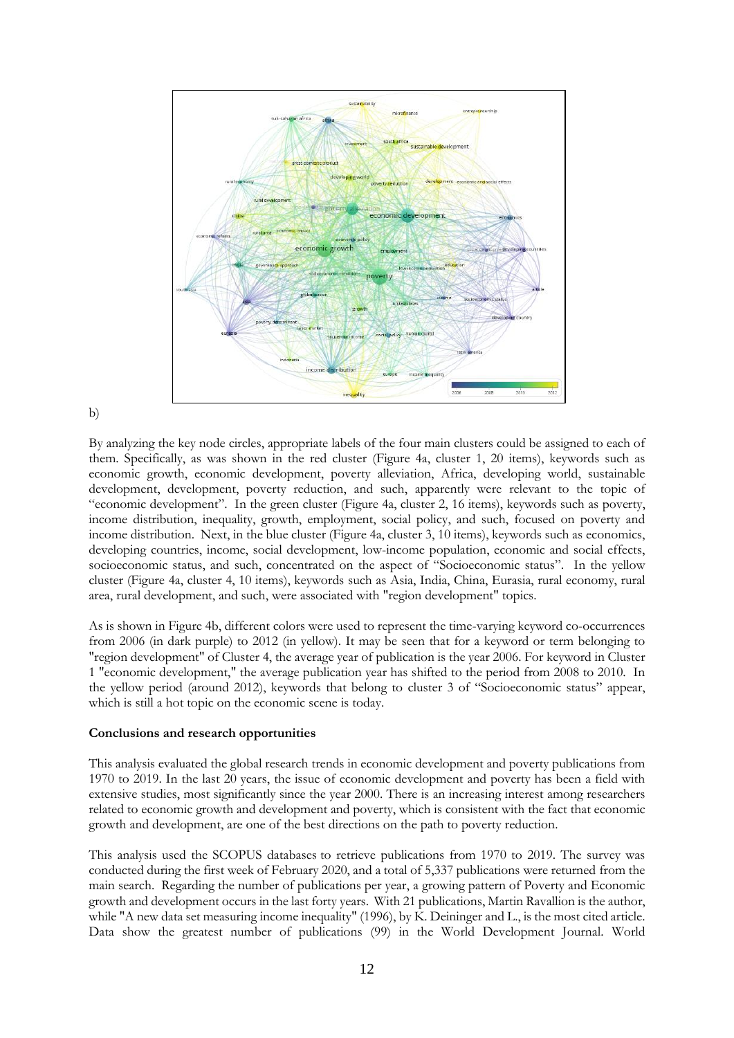

### b)

By analyzing the key node circles, appropriate labels of the four main clusters could be assigned to each of them. Specifically, as was shown in the red cluster (Figure 4a, cluster 1, 20 items), keywords such as economic growth, economic development, poverty alleviation, Africa, developing world, sustainable development, development, poverty reduction, and such, apparently were relevant to the topic of "economic development". In the green cluster (Figure 4a, cluster 2, 16 items), keywords such as poverty, income distribution, inequality, growth, employment, social policy, and such, focused on poverty and income distribution. Next, in the blue cluster (Figure 4a, cluster 3, 10 items), keywords such as economics, developing countries, income, social development, low-income population, economic and social effects, socioeconomic status, and such, concentrated on the aspect of "Socioeconomic status". In the yellow cluster (Figure 4a, cluster 4, 10 items), keywords such as Asia, India, China, Eurasia, rural economy, rural area, rural development, and such, were associated with "region development" topics.

As is shown in Figure 4b, different colors were used to represent the time-varying keyword co-occurrences from 2006 (in dark purple) to 2012 (in yellow). It may be seen that for a keyword or term belonging to "region development" of Cluster 4, the average year of publication is the year 2006. For keyword in Cluster 1 "economic development," the average publication year has shifted to the period from 2008 to 2010. In the yellow period (around 2012), keywords that belong to cluster 3 of "Socioeconomic status" appear, which is still a hot topic on the economic scene is today.

### **Conclusions and research opportunities**

This analysis evaluated the global research trends in economic development and poverty publications from 1970 to 2019. In the last 20 years, the issue of economic development and poverty has been a field with extensive studies, most significantly since the year 2000. There is an increasing interest among researchers related to economic growth and development and poverty, which is consistent with the fact that economic growth and development, are one of the best directions on the path to poverty reduction.

This analysis used the SCOPUS databases to retrieve publications from 1970 to 2019. The survey was conducted during the first week of February 2020, and a total of 5,337 publications were returned from the main search. Regarding the number of publications per year, a growing pattern of Poverty and Economic growth and development occurs in the last forty years. With 21 publications, Martin Ravallion is the author, while "A new data set measuring income inequality" (1996), by K. Deininger and L., is the most cited article. Data show the greatest number of publications (99) in the World Development Journal. World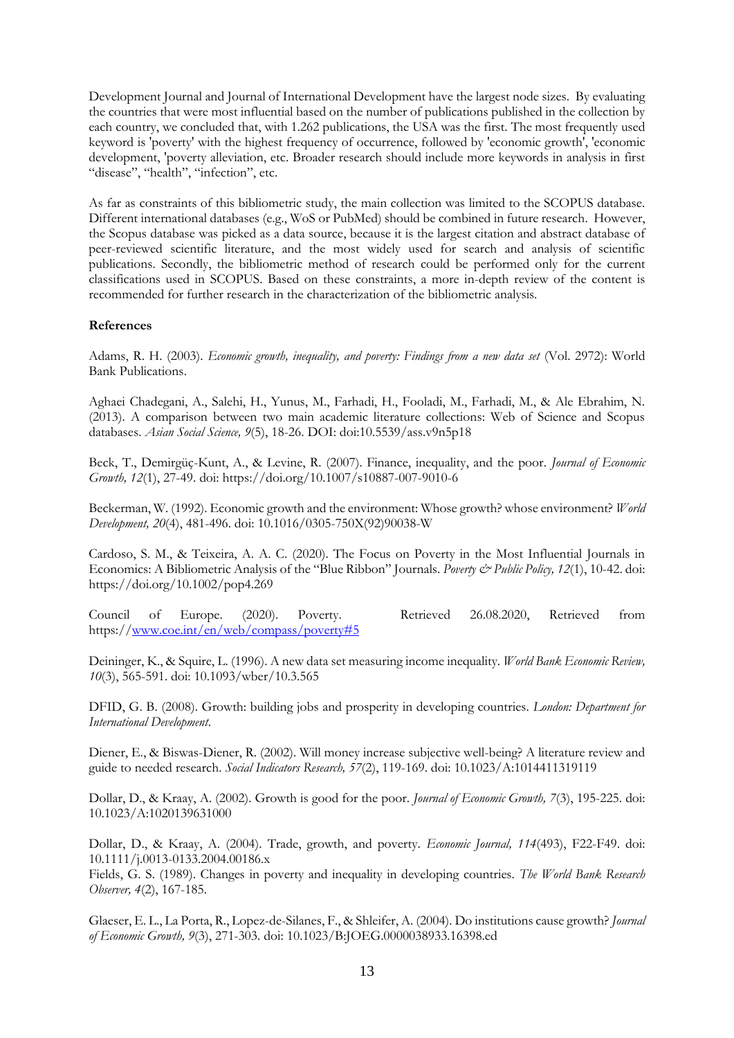Development Journal and Journal of International Development have the largest node sizes. By evaluating the countries that were most influential based on the number of publications published in the collection by each country, we concluded that, with 1.262 publications, the USA was the first. The most frequently used keyword is 'poverty' with the highest frequency of occurrence, followed by 'economic growth', 'economic development, 'poverty alleviation, etc. Broader research should include more keywords in analysis in first "disease", "health", "infection", etc.

As far as constraints of this bibliometric study, the main collection was limited to the SCOPUS database. Different international databases (e.g., WoS or PubMed) should be combined in future research. However, the Scopus database was picked as a data source, because it is the largest citation and abstract database of peer-reviewed scientific literature, and the most widely used for search and analysis of scientific publications. Secondly, the bibliometric method of research could be performed only for the current classifications used in SCOPUS. Based on these constraints, a more in-depth review of the content is recommended for further research in the characterization of the bibliometric analysis.

### **References**

<span id="page-13-1"></span>Adams, R. H. (2003). *Economic growth, inequality, and poverty: Findings from a new data set* (Vol. 2972): World Bank Publications.

<span id="page-13-5"></span>Aghaei Chadegani, A., Salehi, H., Yunus, M., Farhadi, H., Fooladi, M., Farhadi, M., & Ale Ebrahim, N. (2013). A comparison between two main academic literature collections: Web of Science and Scopus databases. *Asian Social Science, 9*(5), 18-26. DOI: doi:10.5539/ass.v9n5p18

<span id="page-13-11"></span>Beck, T., Demirgüç-Kunt, A., & Levine, R. (2007). Finance, inequality, and the poor. *Journal of Economic Growth, 12*(1), 27-49. doi: https://doi.org/10.1007/s10887-007-9010-6

<span id="page-13-12"></span>Beckerman, W. (1992). Economic growth and the environment: Whose growth? whose environment? *World Development, 20*(4), 481-496. doi: 10.1016/0305-750X(92)90038-W

<span id="page-13-4"></span>Cardoso, S. M., & Teixeira, A. A. C. (2020). The Focus on Poverty in the Most Influential Journals in Economics: A Bibliometric Analysis of the "Blue Ribbon" Journals. *Poverty & Public Policy, 12*(1), 10-42. doi: https://doi.org/10.1002/pop4.269

<span id="page-13-0"></span>Council of Europe. (2020). Poverty. Retrieved 26.08.2020, Retrieved from https:/[/www.coe.int/en/web/compass/poverty#5](http://www.coe.int/en/web/compass/poverty#5)

<span id="page-13-6"></span>Deininger, K., & Squire, L. (1996). A new data set measuring income inequality. *World Bank Economic Review, 10*(3), 565-591. doi: 10.1093/wber/10.3.565

<span id="page-13-3"></span>DFID, G. B. (2008). Growth: building jobs and prosperity in developing countries. *London: Department for International Development*.

<span id="page-13-9"></span>Diener, E., & Biswas-Diener, R. (2002). Will money increase subjective well-being? A literature review and guide to needed research. *Social Indicators Research, 57*(2), 119-169. doi: 10.1023/A:1014411319119

<span id="page-13-8"></span>Dollar, D., & Kraay, A. (2002). Growth is good for the poor. *Journal of Economic Growth, 7*(3), 195-225. doi: 10.1023/A:1020139631000

<span id="page-13-10"></span>Dollar, D., & Kraay, A. (2004). Trade, growth, and poverty. *Economic Journal, 114*(493), F22-F49. doi: 10.1111/j.0013-0133.2004.00186.x

<span id="page-13-2"></span>Fields, G. S. (1989). Changes in poverty and inequality in developing countries. *The World Bank Research Observer, 4*(2), 167-185.

<span id="page-13-7"></span>Glaeser, E. L., La Porta, R., Lopez-de-Silanes, F., & Shleifer, A. (2004). Do institutions cause growth? *Journal of Economic Growth, 9*(3), 271-303. doi: 10.1023/B:JOEG.0000038933.16398.ed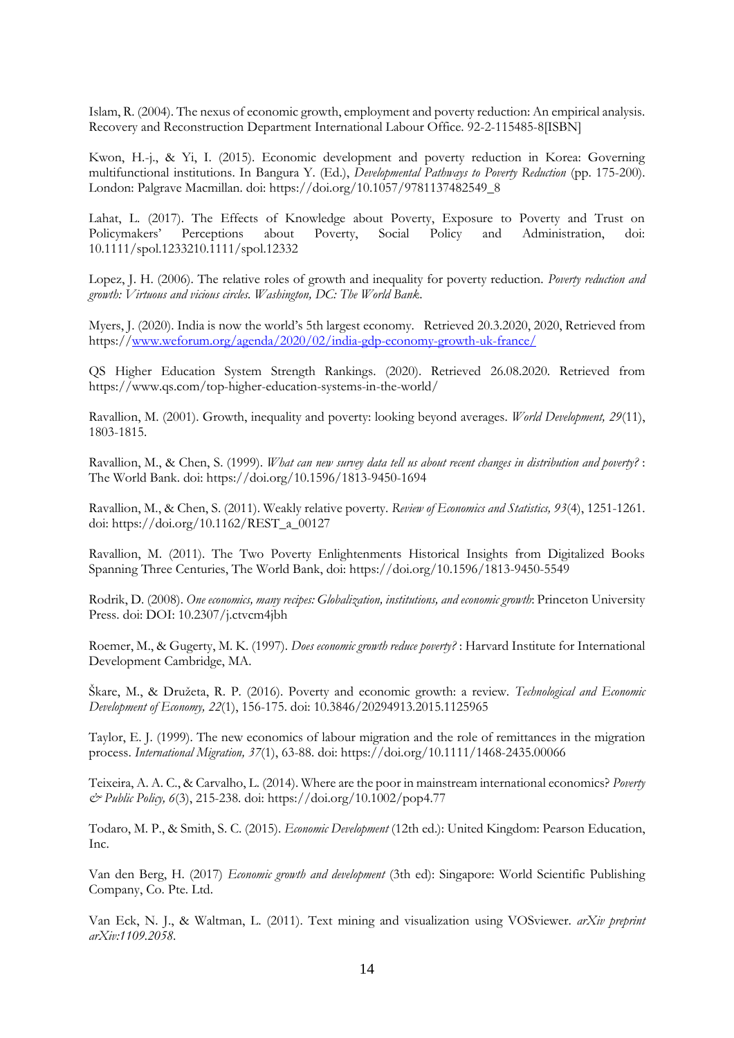Islam, R. (2004). The nexus of economic growth, employment and poverty reduction: An empirical analysis. Recovery and Reconstruction Department International Labour Office. 92-2-115485-8[ISBN]

<span id="page-14-1"></span>Kwon, H.-j., & Yi, I. (2015). Economic development and poverty reduction in Korea: Governing multifunctional institutions. In Bangura Y. (Ed.), *Developmental Pathways to Poverty Reduction* (pp. 175-200). London: Palgrave Macmillan. doi: https://doi.org/10.1057/9781137482549\_8

Lahat, L. (2017). The Effects of Knowledge about Poverty, Exposure to Poverty and Trust on Policymakers' Perceptions about Poverty, Social Policy and Administration, doi: 10.1111/spol.1233210.1111/spol.12332

<span id="page-14-2"></span>Lopez, J. H. (2006). The relative roles of growth and inequality for poverty reduction. *Poverty reduction and growth: Virtuous and vicious circles. Washington, DC: The World Bank*.

<span id="page-14-10"></span>Myers, J. (2020). India is now the world's 5th largest economy. Retrieved 20.3.2020, 2020, Retrieved from https:/[/www.weforum.org/agenda/2020/02/india-gdp-economy-growth-uk-france/](http://www.weforum.org/agenda/2020/02/india-gdp-economy-growth-uk-france/)

QS Higher Education System Strength Rankings. (2020). Retrieved 26.08.2020. Retrieved from https://www.qs.com/top-higher-education-systems-in-the-world/

<span id="page-14-9"></span>Ravallion, M. (2001). Growth, inequality and poverty: looking beyond averages. *World Development, 29*(11), 1803-1815.

<span id="page-14-3"></span>Ravallion, M., & Chen, S. (1999). *What can new survey data tell us about recent changes in distribution and poverty?* : The World Bank. doi: https://doi.org/10.1596/1813-9450-1694

<span id="page-14-0"></span>Ravallion, M., & Chen, S. (2011). Weakly relative poverty. *Review of Economics and Statistics, 93*(4), 1251-1261. doi: https://doi.org/10.1162/REST\_a\_00127

Ravallion, M. (2011). The Two Poverty Enlightenments Historical Insights from Digitalized Books Spanning Three Centuries, The World Bank, doi: https://doi.org/10.1596/1813-9450-5549

<span id="page-14-7"></span>Rodrik, D. (2008). *One economics, many recipes: Globalization, institutions, and economic growth*: Princeton University Press. doi: DOI: 10.2307/j.ctvcm4jbh

<span id="page-14-4"></span>Roemer, M., & Gugerty, M. K. (1997). *Does economic growth reduce poverty?* : Harvard Institute for International Development Cambridge, MA.

<span id="page-14-5"></span>Škare, M., & Družeta, R. P. (2016). Poverty and economic growth: a review. *Technological and Economic Development of Economy, 22*(1), 156-175. doi: 10.3846/20294913.2015.1125965

<span id="page-14-8"></span>Taylor, E. J. (1999). The new economics of labour migration and the role of remittances in the migration process. *International Migration, 37*(1), 63-88. doi: https://doi.org/10.1111/1468-2435.00066

<span id="page-14-6"></span>Teixeira, A. A. C., & Carvalho, L. (2014). Where are the poor in mainstream international economics? *Poverty & Public Policy, 6*(3), 215-238. doi: https://doi.org/10.1002/pop4.77

<span id="page-14-11"></span>Todaro, M. P., & Smith, S. C. (2015). *Economic Development* (12th ed.): United Kingdom: Pearson Education, Inc.

Van den Berg, H. (2017) *[Economic growth and development](https://scholar.google.com/scholar?oi=bibs&cluster=17957933836490654777&btnI=1&hl=en)* (3th ed): Singapore: World Scientific Publishing Company, Co. Pte. Ltd.

Van Eck, N. J., & Waltman, L. (2011). Text mining and visualization using VOSviewer. *arXiv preprint arXiv:1109.2058*.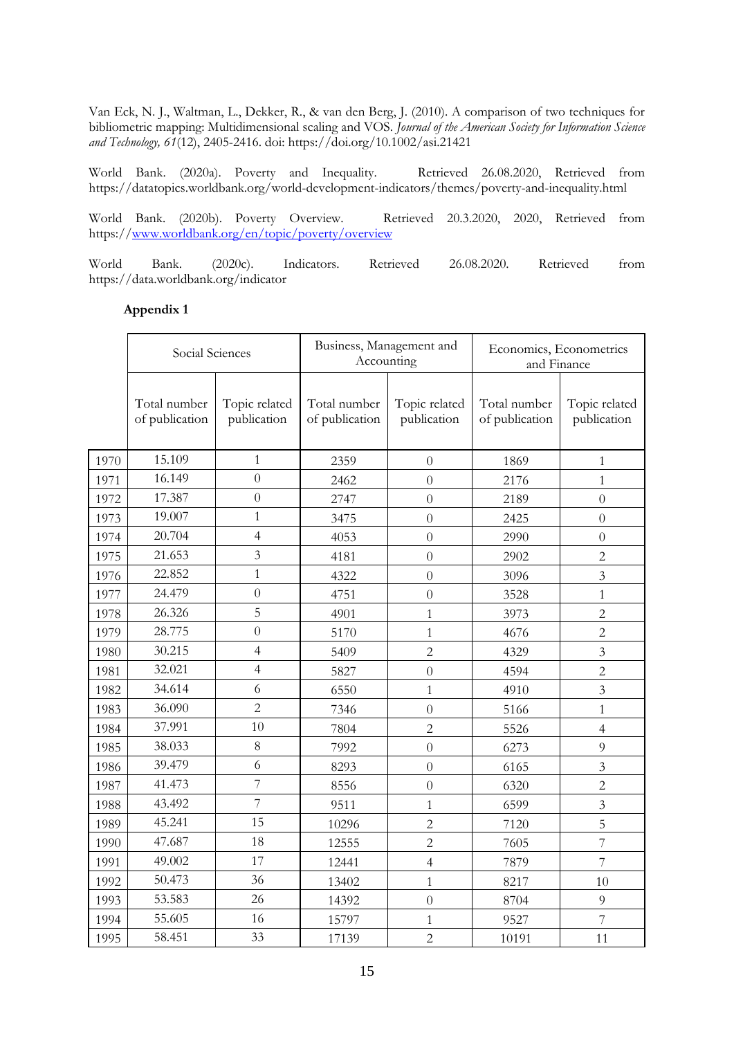<span id="page-15-2"></span>Van Eck, N. J., Waltman, L., Dekker, R., & van den Berg, J. (2010). A comparison of two techniques for bibliometric mapping: Multidimensional scaling and VOS. *Journal of the American Society for Information Science and Technology, 61*(12), 2405-2416. doi: https://doi.org/10.1002/asi.21421

<span id="page-15-0"></span>World Bank. (2020a). Poverty and Inequality. Retrieved 26.08.2020, Retrieved from https://datatopics.worldbank.org/world-development-indicators/themes/poverty-and-inequality.html

<span id="page-15-1"></span>World Bank. (2020b). Poverty Overview. Retrieved 20.3.2020, 2020, Retrieved from https:/[/www.worldbank.org/en/topic/poverty/overview](http://www.worldbank.org/en/topic/poverty/overview)

World Bank. (2020c). Indicators. Retrieved 26.08.2020. Retrieved from https://data.worldbank.org/indicator

### **Appendix 1**

|      | Social Sciences                |                              | Business, Management and<br>Accounting |                              | Economics, Econometrics<br>and Finance |                              |  |
|------|--------------------------------|------------------------------|----------------------------------------|------------------------------|----------------------------------------|------------------------------|--|
|      | Total number<br>of publication | Topic related<br>publication | Total number<br>of publication         | Topic related<br>publication | Total number<br>of publication         | Topic related<br>publication |  |
| 1970 | 15.109                         | $\mathbf{1}$                 | 2359                                   | $\overline{0}$               | 1869                                   | $\mathbf{1}$                 |  |
| 1971 | 16.149                         | $\overline{0}$               | 2462                                   | $\overline{0}$               | 2176                                   | $\mathbf{1}$                 |  |
| 1972 | 17.387                         | $\theta$                     | 2747                                   | $\overline{0}$               | 2189                                   | $\overline{0}$               |  |
| 1973 | 19.007                         | $\mathbf{1}$                 | 3475                                   | $\overline{0}$               | 2425                                   | $\overline{0}$               |  |
| 1974 | 20.704                         | $\overline{4}$               | 4053                                   | $\overline{0}$               | 2990                                   | $\overline{0}$               |  |
| 1975 | 21.653                         | 3                            | 4181                                   | $\theta$                     | 2902                                   | $\overline{2}$               |  |
| 1976 | 22.852                         | $\mathbf{1}$                 | 4322                                   | $\overline{0}$               | 3096                                   | $\overline{3}$               |  |
| 1977 | 24.479                         | $\theta$                     | 4751                                   | $\overline{0}$               | 3528                                   | $\mathbf{1}$                 |  |
| 1978 | 26.326                         | 5                            | 4901                                   | $\mathbf{1}$                 | 3973                                   | $\overline{2}$               |  |
| 1979 | 28.775                         | $\overline{0}$               | 5170                                   | $\mathbf{1}$                 | 4676                                   | $\overline{2}$               |  |
| 1980 | 30.215                         | $\overline{4}$               | 5409                                   | $\overline{2}$               | 4329                                   | 3                            |  |
| 1981 | 32.021                         | $\overline{4}$               | 5827                                   | $\overline{0}$               | 4594                                   | $\overline{c}$               |  |
| 1982 | 34.614                         | 6                            | 6550                                   | $\mathbf{1}$                 | 4910                                   | $\overline{3}$               |  |
| 1983 | 36.090                         | $\overline{2}$               | 7346                                   | $\overline{0}$               | 5166                                   | $\mathbf{1}$                 |  |
| 1984 | 37.991                         | 10                           | 7804                                   | $\overline{2}$               | 5526                                   | $\overline{4}$               |  |
| 1985 | 38.033                         | $8\,$                        | 7992                                   | $\overline{0}$               | 6273                                   | 9                            |  |
| 1986 | 39.479                         | 6                            | 8293                                   | $\overline{0}$               | 6165                                   | $\overline{3}$               |  |
| 1987 | 41.473                         | 7                            | 8556                                   | $\overline{0}$               | 6320                                   | $\overline{c}$               |  |
| 1988 | 43.492                         | 7                            | 9511                                   | 1                            | 6599                                   | $\overline{3}$               |  |
| 1989 | 45.241                         | 15                           | 10296                                  | $\overline{2}$               | 7120                                   | 5                            |  |
| 1990 | 47.687                         | 18                           | 12555                                  | $\overline{c}$               | 7605                                   | 7                            |  |
| 1991 | 49.002                         | 17                           | 12441                                  | $\overline{4}$               | 7879                                   | $\overline{7}$               |  |
| 1992 | 50.473                         | 36                           | 13402                                  | $\mathbf{1}$                 | 8217                                   | 10                           |  |
| 1993 | 53.583                         | 26                           | 14392                                  | $\overline{0}$               | 8704                                   | 9                            |  |
| 1994 | 55.605                         | 16                           | 15797                                  | $\mathbf{1}$                 | 9527                                   | $\overline{7}$               |  |
| 1995 | 58.451                         | 33                           | 17139                                  | $\overline{2}$               | 10191                                  | 11                           |  |